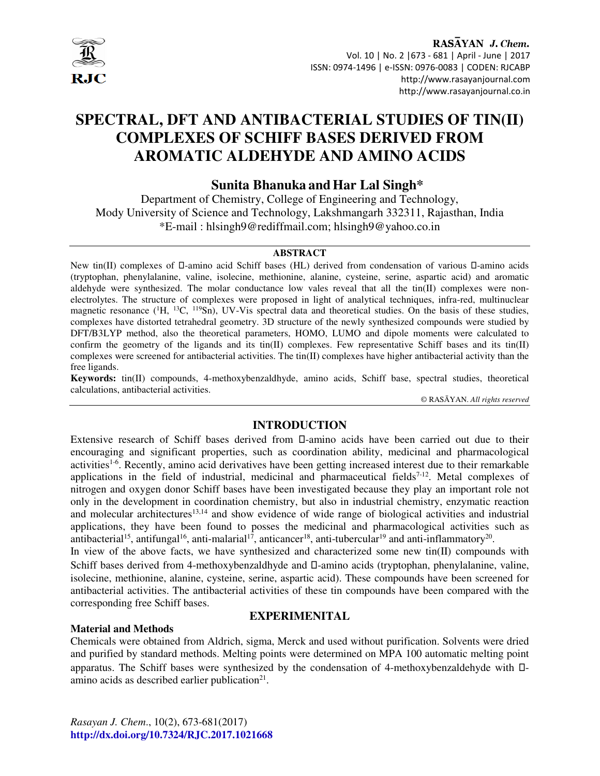

RASAYAN J. Chem. Vol. 10 | No. 2 |673 - 681 | April - June | 2017 ISSN: 0974-1496 | e-ISSN: 0976-0083 | CODEN: RJCABP http://www.rasayanjournal.com http://www.rasayanjournal.co.in

# **SPECTRAL, DFT AND ANTIBACTERIAL STUDIES OF TIN(II) COMPLEXES OF SCHIFF BASES DERIVED FROM AROMATIC ALDEHYDE AND AMINO ACIDS**

# **Sunita Bhanuka andHar Lal Singh\***

Department of Chemistry, College of Engineering and Technology, Mody University of Science and Technology, Lakshmangarh 332311, Rajasthan, India \*E-mail : hlsingh9@rediffmail.com; hlsingh9@yahoo.co.in

# **ABSTRACT**

New tin(II) complexes of -amino acid Schiff bases (HL) derived from condensation of various -amino acids (tryptophan, phenylalanine, valine, isolecine, methionine, alanine, cysteine, serine, aspartic acid) and aromatic aldehyde were synthesized. The molar conductance low vales reveal that all the tin(II) complexes were nonelectrolytes. The structure of complexes were proposed in light of analytical techniques, infra-red, multinuclear magnetic resonance (<sup>1</sup>H, <sup>13</sup>C, <sup>119</sup>Sn), UV-Vis spectral data and theoretical studies. On the basis of these studies, complexes have distorted tetrahedral geometry. 3D structure of the newly synthesized compounds were studied by DFT/B3LYP method, also the theoretical parameters, HOMO, LUMO and dipole moments were calculated to confirm the geometry of the ligands and its tin(II) complexes. Few representative Schiff bases and its tin(II) complexes were screened for antibacterial activities. The  $\text{tin}(\text{II})$  complexes have higher antibacterial activity than the free ligands.

**Keywords:** tin(II) compounds, 4-methoxybenzaldhyde, amino acids, Schiff base, spectral studies, theoretical calculations, antibacterial activities.

© RASĀYAN. *All rights reserved*

# **INTRODUCTION**

Extensive research of Schiff bases derived from -amino acids have been carried out due to their encouraging and significant properties, such as coordination ability, medicinal and pharmacological activities<sup>1-6</sup>. Recently, amino acid derivatives have been getting increased interest due to their remarkable applications in the field of industrial, medicinal and pharmaceutical fields<sup>7-12</sup>. Metal complexes of nitrogen and oxygen donor Schiff bases have been investigated because they play an important role not only in the development in coordination chemistry, but also in industrial chemistry, enzymatic reaction and molecular architectures<sup>13,14</sup> and show evidence of wide range of biological activities and industrial applications, they have been found to posses the medicinal and pharmacological activities such as antibacterial<sup>15</sup>, antifungal<sup>16</sup>, anti-malarial<sup>17</sup>, anticancer<sup>18</sup>, anti-tubercular<sup>19</sup> and anti-inflammatory<sup>20</sup>.

In view of the above facts, we have synthesized and characterized some new tin $(II)$  compounds with Schiff bases derived from 4-methoxybenzaldhyde and -amino acids (tryptophan, phenylalanine, valine, isolecine, methionine, alanine, cysteine, serine, aspartic acid). These compounds have been screened for antibacterial activities. The antibacterial activities of these tin compounds have been compared with the corresponding free Schiff bases.

### **Material and Methods**

# **EXPERIMENITAL**

Chemicals were obtained from Aldrich, sigma, Merck and used without purification. Solvents were dried and purified by standard methods. Melting points were determined on MPA 100 automatic melting point apparatus. The Schiff bases were synthesized by the condensation of 4-methoxybenzaldehyde with amino acids as described earlier publication $2<sup>1</sup>$ .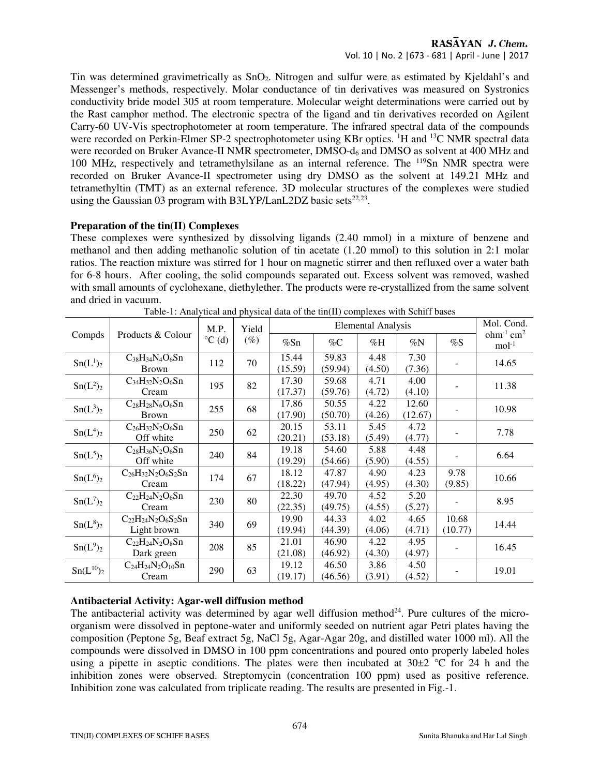# RASAYAN J. Chem. Vol. 10 | No. 2 |673 - 681 | April - June | 2017

Tin was determined gravimetrically as SnO2. Nitrogen and sulfur were as estimated by Kjeldahl's and Messenger's methods, respectively. Molar conductance of tin derivatives was measured on Systronics conductivity bride model 305 at room temperature. Molecular weight determinations were carried out by the Rast camphor method. The electronic spectra of the ligand and tin derivatives recorded on Agilent Carry-60 UV-Vis spectrophotometer at room temperature. The infrared spectral data of the compounds were recorded on Perkin-Elmer SP-2 spectrophotometer using KBr optics. <sup>1</sup>H and <sup>13</sup>C NMR spectral data were recorded on Bruker Avance-II NMR spectrometer, DMSO-d<sub>6</sub> and DMSO as solvent at 400 MHz and 100 MHz, respectively and tetramethylsilane as an internal reference. The <sup>119</sup>Sn NMR spectra were recorded on Bruker Avance-II spectrometer using dry DMSO as the solvent at 149.21 MHz and tetramethyltin (TMT) as an external reference. 3D molecular structures of the complexes were studied using the Gaussian 03 program with B3LYP/LanL2DZ basic sets $^{22,23}$ .

## **Preparation of the tin(II) Complexes**

These complexes were synthesized by dissolving ligands (2.40 mmol) in a mixture of benzene and methanol and then adding methanolic solution of tin acetate (1.20 mmol) to this solution in 2:1 molar ratios. The reaction mixture was stirred for 1 hour on magnetic stirrer and then refluxed over a water bath for 6-8 hours. After cooling, the solid compounds separated out. Excess solvent was removed, washed with small amounts of cyclohexane, diethylether. The products were re-crystallized from the same solvent and dried in vacuum.

|                                  |                            | M.P.            | Yield  | <b>Elemental Analysis</b> |         |         |         |         | Mol. Cond.                         |        |        |  |  |
|----------------------------------|----------------------------|-----------------|--------|---------------------------|---------|---------|---------|---------|------------------------------------|--------|--------|--|--|
| Compds                           | Products & Colour          | $^{\circ}C$ (d) | $(\%)$ | %Sn                       | $\%C$   | %H      | $\%N$   | %S      | $ohm-1$ cm <sup>2</sup><br>$mol-1$ |        |        |  |  |
| Sn(L <sup>1</sup> ) <sub>2</sub> | $C_{38}H_{34}N_4O_6Sn$     | 112             | 70     | 15.44                     | 59.83   | 4.48    | 7.30    |         | 14.65                              |        |        |  |  |
|                                  | <b>Brown</b>               |                 |        | (15.59)                   | (59.94) | (4.50)  | (7.36)  |         |                                    |        |        |  |  |
| Sn(L <sup>2</sup> ) <sub>2</sub> | $C_{34}H_{32}N_2O_6Sn$     | 195             | 82     | 17.30                     | 59.68   | 4.71    | 4.00    |         | 11.38                              |        |        |  |  |
|                                  | Cream                      |                 |        | (17.37)                   | (59.76) | (4.72)  | (4.10)  |         |                                    |        |        |  |  |
| $Sn(L^3)2$                       | $C_{28}H_{28}N_6O_6Sn$     | 255             | 68     | 17.86                     | 50.55   | 4.22    | 12.60   |         | 10.98                              |        |        |  |  |
|                                  | <b>Brown</b>               |                 |        | (17.90)                   | (50.70) | (4.26)  | (12.67) |         |                                    |        |        |  |  |
|                                  | $C_{26}H_{32}N_2O_6Sn$     | 250             | 62     | 20.15                     | 53.11   | 5.45    | 4.72    |         | 7.78                               |        |        |  |  |
| Sn(L <sup>4</sup> ) <sub>2</sub> | Off white                  |                 |        | (20.21)                   | (53.18) | (5.49)  | (4.77)  |         |                                    |        |        |  |  |
| $Sn(L^5)_2$                      | $C_{28}H_{36}N_2O_6Sn$     | 240             | 84     | 19.18                     | 54.60   | 5.88    | 4.48    |         | 6.64                               |        |        |  |  |
|                                  | Off white                  |                 |        |                           | (19.29) | (54.66) | (5.90)  | (4.55)  |                                    |        |        |  |  |
| $Sn(L^6)_2$                      | $C_{26}H_{32}N_2O_6S_2Sn$  | 174             | 67     | 18.12                     | 47.87   | 4.90    | 4.23    | 9.78    | 10.66                              |        |        |  |  |
|                                  | Cream                      |                 |        |                           | (18.22) | (47.94) | (4.95)  | (4.30)  | (9.85)                             |        |        |  |  |
| $Sn(L^7)_2$                      | $C_{22}H_{24}N_2O_6Sn$     | 230             | 80     | 22.30                     | 49.70   | 4.52    | 5.20    |         | 8.95                               |        |        |  |  |
|                                  | Cream                      |                 |        | (22.35)                   | (49.75) | (4.55)  | (5.27)  |         |                                    |        |        |  |  |
|                                  | $C_{22}H_{24}N_2O_6S_2Sn$  | 340             | 69     | 19.90                     | 44.33   | 4.02    | 4.65    | 10.68   | 14.44                              |        |        |  |  |
| $Sn(L^8)_2$                      | Light brown                |                 |        | (19.94)                   | (44.39) | (4.06)  | (4.71)  | (10.77) |                                    |        |        |  |  |
| Sn(L <sup>9</sup> ) <sub>2</sub> | $C_{22}H_{24}N_{2}O_{8}Sn$ | 208             | 85     | 21.01                     | 46.90   | 4.22    | 4.95    |         | 16.45                              |        |        |  |  |
|                                  | Dark green                 |                 |        |                           |         |         |         | (21.08) | (46.92)                            | (4.30) | (4.97) |  |  |
|                                  | $C_{24}H_{24}N_2O_{10}Sn$  |                 |        | 19.12                     | 46.50   | 3.86    | 4.50    |         |                                    |        |        |  |  |
| $Sn(L^{10})_2$                   | Cream                      | 290             | 63     | (19.17)                   | (46.56) | (3.91)  | (4.52)  |         | 19.01                              |        |        |  |  |

Table-1: Analytical and physical data of the tin(II) complexes with Schiff bases

# **Antibacterial Activity: Agar-well diffusion method**

The antibacterial activity was determined by agar well diffusion method $^{24}$ . Pure cultures of the microorganism were dissolved in peptone-water and uniformly seeded on nutrient agar Petri plates having the composition (Peptone 5g, Beaf extract 5g, NaCl 5g, Agar-Agar 20g, and distilled water 1000 ml). All the compounds were dissolved in DMSO in 100 ppm concentrations and poured onto properly labeled holes using a pipette in aseptic conditions. The plates were then incubated at  $30\pm2$  °C for 24 h and the inhibition zones were observed. Streptomycin (concentration 100 ppm) used as positive reference. Inhibition zone was calculated from triplicate reading. The results are presented in Fig.-1.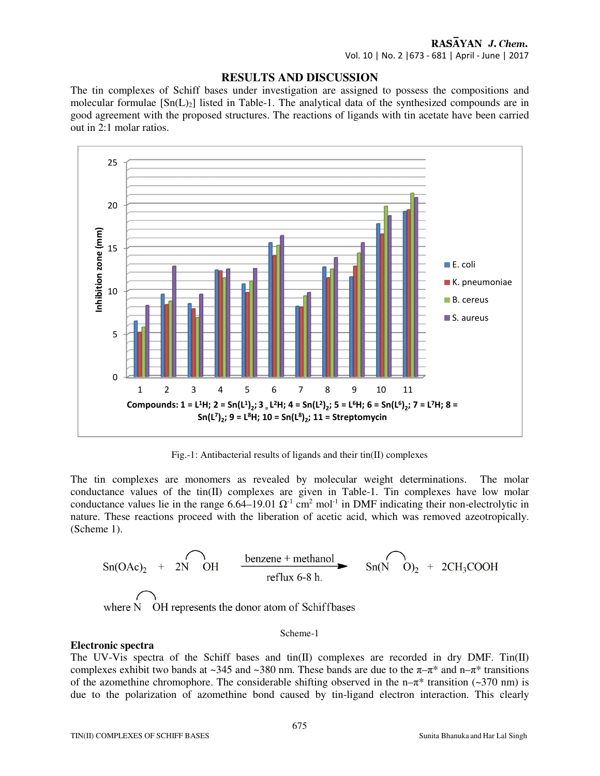# RASAYAN J. Chem.

Vol. 10 | No. 2 |673 - 681 | April - June | 2017

### **RESULTS AND DISCUSSION**

The tin complexes of Schiff bases under investigation are assigned to possess the compositions and molecular formulae  $[Sn(L)<sub>2</sub>]$  listed in Table-1. The analytical data of the synthesized compounds are in good agreement with the proposed structures. The reactions of ligands with tin acetate have been carried out in 2:1 molar ratios.



Fig.-1: Antibacterial results of ligands and their tin(II) complexes

The tin complexes are monomers as revealed by molecular weight determinations. The molar conductance values of the tin(II) complexes are given in Table-1. Tin complexes have low molar conductance values lie in the range  $6.64-19.01 \Omega^{-1}$  cm<sup>2</sup> mol<sup>-1</sup> in DMF indicating their non-electrolytic in nature. These reactions proceed with the liberation of acetic acid, which was removed azeotropically. (Scheme 1).

$$
\text{Sn(OAc)}_2 + 2N \text{OH} \quad \xrightarrow{\text{benzene + methanol}} \text{Sn(N O)}_2 + 2CH_3\text{COOH}
$$

where N OH represents the donor atom of Schiffbases

#### Scheme-1

#### **Electronic spectra**

The UV-Vis spectra of the Schiff bases and tin(II) complexes are recorded in dry DMF. Tin(II) complexes exhibit two bands at ~345 and ~380 nm. These bands are due to the  $\pi-\pi^*$  and  $n-\pi^*$  transitions of the azomethine chromophore. The considerable shifting observed in the n– $\pi^*$  transition (~370 nm) is due to the polarization of azomethine bond caused by tin-ligand electron interaction. This clearly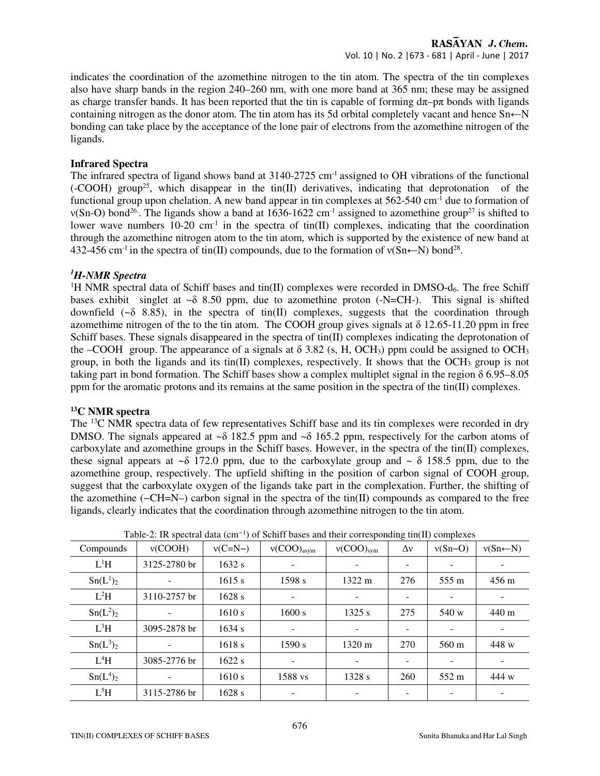# RASAYAN J. Chem. Vol. 10 | No. 2 |673 - 681 | April - June | 2017

indicates the coordination of the azomethine nitrogen to the tin atom. The spectra of the tin complexes also have sharp bands in the region 240–260 nm, with one more band at 365 nm; these may be assigned as charge transfer bands. It has been reported that the tin is capable of forming  $d\pi$ – $p\pi$  bonds with ligands containing nitrogen as the donor atom. The tin atom has its 5d orbital completely vacant and hence Sn←N bonding can take place by the acceptance of the lone pair of electrons from the azomethine nitrogen of the ligands.

### **Infrared Spectra**

The infrared spectra of ligand shows band at  $3140-2725$  cm<sup>-1</sup> assigned to OH vibrations of the functional  $(-COOH)$  group<sup>25</sup>, which disappear in the tin(II) derivatives, indicating that deprotonation of the functional group upon chelation. A new band appear in tin complexes at  $562-540$  cm<sup>-1</sup> due to formation of  $v(Sn-O)$  bond<sup>26</sup>. The ligands show a band at  $1636-1622$  cm<sup>-1</sup> assigned to azomethine group<sup>27</sup> is shifted to lower wave numbers  $10-20$  cm<sup>-1</sup> in the spectra of tin(II) complexes, indicating that the coordination through the azomethine nitrogen atom to the tin atom, which is supported by the existence of new band at 432-456 cm<sup>-1</sup> in the spectra of tin(II) compounds, due to the formation of  $v(Sn \leftarrow N)$  bond<sup>28</sup>.

# *<sup>1</sup>H-NMR Spectra*

<sup>1</sup>H NMR spectral data of Schiff bases and tin(II) complexes were recorded in DMSO- $d_6$ . The free Schiff bases exhibit singlet at  $\sim \delta$  8.50 ppm, due to azomethine proton (-N=CH-). This signal is shifted downfield ( $\sim \delta$  8.85), in the spectra of tin(II) complexes, suggests that the coordination through azomethime nitrogen of the to the tin atom. The COOH group gives signals at  $\delta$  12.65-11.20 ppm in free Schiff bases. These signals disappeared in the spectra of tin(II) complexes indicating the deprotonation of the –COOH group. The appearance of a signals at  $\delta$  3.82 (s, H, OCH<sub>3</sub>) ppm could be assigned to OCH<sub>3</sub> group, in both the ligands and its tin(II) complexes, respectively. It shows that the OCH<sub>3</sub> group is not taking part in bond formation. The Schiff bases show a complex multiplet signal in the region δ 6.95–8.05 ppm for the aromatic protons and its remains at the same position in the spectra of the tin(II) complexes.

### **<sup>13</sup>C NMR spectra**

The <sup>13</sup>C NMR spectra data of few representatives Schiff base and its tin complexes were recorded in dry DMSO. The signals appeared at  $\sim \delta$  182.5 ppm and  $\sim \delta$  165.2 ppm, respectively for the carbon atoms of carboxylate and azomethine groups in the Schiff bases. However, in the spectra of the tin(II) complexes, these signal appears at  $\sim \delta$  172.0 ppm, due to the carboxylate group and  $\sim \delta$  158.5 ppm, due to the azomethine group, respectively. The upfield shifting in the position of carbon signal of COOH group, suggest that the carboxylate oxygen of the ligands take part in the complexation. Further, the shifting of the azomethine (−CH=N–) carbon signal in the spectra of the tin(II) compounds as compared to the free ligands, clearly indicates that the coordination through azomethine nitrogen to the tin atom.

| Compounds                        | v(COOH)      | $v(C=N-)$ | $v(COO)_{asym}$ | $v(COO)_{sym}$           | $\Delta v$ | $v(Sn-O)$ | $v(Sn \leftarrow N)$     |
|----------------------------------|--------------|-----------|-----------------|--------------------------|------------|-----------|--------------------------|
| $L^1H$                           | 3125-2780 br | 1632 s    |                 |                          |            |           |                          |
| $Sn(L^1)_2$                      |              | 1615 s    | 1598 s          | 1322 m                   | 276        | 555 m     | $456 \text{ m}$          |
| $L^2H$                           | 3110-2757 br | $1628$ s  |                 |                          |            |           |                          |
| Sn(L <sup>2</sup> ) <sub>2</sub> |              | 1610 s    | 1600 s          | 1325 s                   | 275        | 540 w     | 440 m                    |
| $L^3H$                           | 3095-2878 br | 1634 s    | ۰               | $\overline{\phantom{a}}$ |            |           | ۰                        |
| $Sn(L^3)_2$                      |              | 1618 s    | 1590 s          | 1320 m                   | 270        | 560 m     | 448 w                    |
| $L^4H$                           | 3085-2776 br | 1622 s    | ۰               |                          |            |           | $\overline{\phantom{0}}$ |
| Sn(L <sup>4</sup> ) <sub>2</sub> |              | 1610 s    | 1588 vs         | 1328 s                   | 260        | 552 m     | 444 w                    |
| $L^5H$                           | 3115-2786 br | $1628$ s  |                 |                          |            |           | ۰                        |

Table-2: IR spectral data (cm*<sup>−</sup>*<sup>1</sup> ) of Schiff bases and their corresponding tin(II) complexes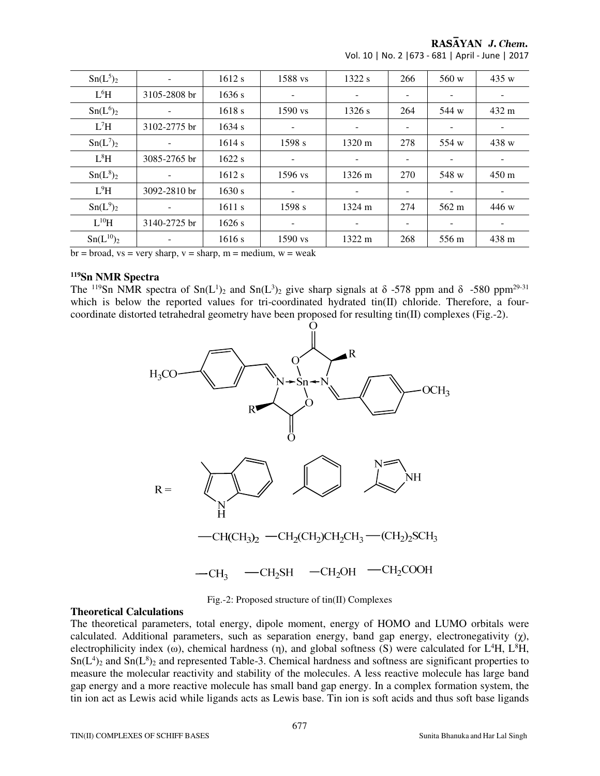RASAYAN J. Chem.

| Sn(L <sup>5</sup> ) <sub>2</sub> |                          | 1612 s   | 1588 vs                  | 1322s  | 266                      | 560 w                    | 435 w                    |
|----------------------------------|--------------------------|----------|--------------------------|--------|--------------------------|--------------------------|--------------------------|
| L <sup>6</sup> H                 | 3105-2808 br             | 1636 s   | $\overline{\phantom{a}}$ |        | $\overline{\phantom{m}}$ | $\overline{\phantom{a}}$ |                          |
| $Sn(L^6)_2$                      | $\overline{\phantom{a}}$ | 1618s    | $1590$ vs                | 1326 s | 264                      | 544 w                    | 432 m                    |
| $L^7H$                           | 3102-2775 br             | 1634 s   | -                        |        |                          | -                        |                          |
| $Sn(L^7)_2$                      | ۰                        | 1614 s   | 1598 s                   | 1320 m | 278                      | 554 w                    | 438 w                    |
| $L^8H$                           | 3085-2765 br             | 1622s    | $\overline{\phantom{a}}$ |        | $\overline{\phantom{a}}$ | $\overline{\phantom{a}}$ |                          |
| $Sn(L^8)_2$                      |                          | 1612 s   | 1596 vs                  | 1326 m | 270                      | 548 w                    | $450 \text{ m}$          |
| $L^9H$                           | 3092-2810 br             | 1630 s   | $\overline{\phantom{a}}$ |        |                          | $\overline{\phantom{a}}$ |                          |
| Sn(L <sup>9</sup> ) <sub>2</sub> | $\overline{\phantom{a}}$ | 1611 s   | 1598 s                   | 1324 m | 274                      | 562 m                    | 446 w                    |
| $L^{10}H$                        | 3140-2725 br             | $1626$ s | $\overline{\phantom{a}}$ | -      | -                        | $\overline{\phantom{a}}$ | $\overline{\phantom{0}}$ |
| $Sn(L^{10})_2$                   |                          | 1616 s   | $1590$ vs                | 1322 m | 268                      | 556 m                    | 438 m                    |

Vol. 10 | No. 2 |673 - 681 | April - June | 2017

 $b$ r = broad, vs = very sharp, v = sharp, m = medium, w = weak

# **<sup>119</sup>Sn NMR Spectra**

The <sup>119</sup>Sn NMR spectra of Sn(L<sup>1</sup>)<sub>2</sub> and Sn(L<sup>3</sup>)<sub>2</sub> give sharp signals at  $\delta$  -578 ppm and  $\delta$  -580 ppm<sup>29-31</sup> which is below the reported values for tri-coordinated hydrated tin(II) chloride. Therefore, a fourcoordinate distorted tetrahedral geometry have been proposed for resulting tin(II) complexes (Fig.-2).



Fig.-2: Proposed structure of tin(II) Complexes

### **Theoretical Calculations**

The theoretical parameters, total energy, dipole moment, energy of HOMO and LUMO orbitals were calculated. Additional parameters, such as separation energy, band gap energy, electronegativity  $(\gamma)$ , electrophilicity index (ω), chemical hardness (η), and global softness (S) were calculated for  $L<sup>4</sup>H$ ,  $L<sup>8</sup>H$ ,  $Sn(L<sup>4</sup>)<sub>2</sub>$  and  $Sn(L<sup>8</sup>)<sub>2</sub>$  and represented Table-3. Chemical hardness and softness are significant properties to measure the molecular reactivity and stability of the molecules. A less reactive molecule has large band gap energy and a more reactive molecule has small band gap energy. In a complex formation system, the tin ion act as Lewis acid while ligands acts as Lewis base. Tin ion is soft acids and thus soft base ligands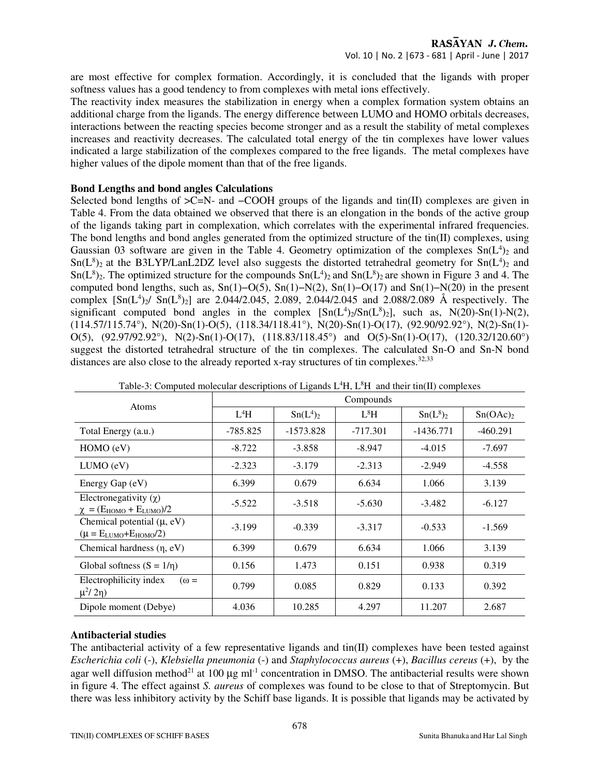are most effective for complex formation. Accordingly, it is concluded that the ligands with proper softness values has a good tendency to from complexes with metal ions effectively.

The reactivity index measures the stabilization in energy when a complex formation system obtains an additional charge from the ligands. The energy difference between LUMO and HOMO orbitals decreases, interactions between the reacting species become stronger and as a result the stability of metal complexes increases and reactivity decreases. The calculated total energy of the tin complexes have lower values indicated a large stabilization of the complexes compared to the free ligands. The metal complexes have higher values of the dipole moment than that of the free ligands.

# **Bond Lengths and bond angles Calculations**

Selected bond lengths of >C=N- and −COOH groups of the ligands and tin(II) complexes are given in Table 4. From the data obtained we observed that there is an elongation in the bonds of the active group of the ligands taking part in complexation, which correlates with the experimental infrared frequencies. The bond lengths and bond angles generated from the optimized structure of the tin(II) complexes, using Gaussian 03 software are given in the Table 4. Geometry optimization of the complexes  $Sn(L<sup>4</sup>)<sub>2</sub>$  and  $Sn(L<sup>8</sup>)<sub>2</sub>$  at the B3LYP/LanL2DZ level also suggests the distorted tetrahedral geometry for  $Sn(L<sup>4</sup>)<sub>2</sub>$  and  $Sn(L<sup>8</sup>)<sub>2</sub>$ . The optimized structure for the compounds  $Sn(L<sup>4</sup>)<sub>2</sub>$  and  $Sn(L<sup>8</sup>)<sub>2</sub>$  are shown in Figure 3 and 4. The computed bond lengths, such as, Sn(1)−O(5), Sn(1)−N(2), Sn(1)−O(17) and Sn(1)−N(20) in the present complex  $[Sn(L<sup>4</sup>)<sub>2</sub>/Sn(L<sup>8</sup>)<sub>2</sub>]$  are 2.044/2.045, 2.089, 2.044/2.045 and 2.088/2.089 Å respectively. The significant computed bond angles in the complex  $[Sn(L<sup>4</sup>)<sub>2</sub>/Sn(L<sup>8</sup>)<sub>2</sub>]$ , such as, N(20)-Sn(1)-N(2),  $(114.57/115.74^{\circ})$ , N(20)-Sn(1)-O(5), (118.34/118.41°), N(20)-Sn(1)-O(17), (92.90/92.92°), N(2)-Sn(1)-O(5), (92.97/92.92°), N(2)-Sn(1)-O(17), (118.83/118.45°) and O(5)-Sn(1)-O(17), (120.32/120.60°) suggest the distorted tetrahedral structure of the tin complexes. The calculated Sn-O and Sn-N bond distances are also close to the already reported x-ray structures of tin complexes. $32,33$ 

| <b>Atoms</b>                                                      | Compounds |                                  |            |             |                      |  |  |  |
|-------------------------------------------------------------------|-----------|----------------------------------|------------|-------------|----------------------|--|--|--|
|                                                                   | $L^4H$    | Sn(L <sup>4</sup> ) <sub>2</sub> | $L^8H$     | $Sn(L^8)_2$ | Sn(OAc) <sub>2</sub> |  |  |  |
| Total Energy (a.u.)                                               | -785.825  | $-1573.828$                      | $-717.301$ | $-1436.771$ | $-460.291$           |  |  |  |
| HOMO (eV)                                                         | $-8.722$  | $-3.858$                         | $-8.947$   | $-4.015$    | $-7.697$             |  |  |  |
| LUMO (eV)                                                         | $-2.323$  | $-3.179$                         | $-2.313$   | $-2.949$    | $-4.558$             |  |  |  |
| Energy Gap (eV)                                                   | 6.399     | 0.679                            | 6.634      | 1.066       | 3.139                |  |  |  |
| Electronegativity $(\gamma)$<br>$\chi = (E_{HOMO} + E_{LUMO})/2$  | $-5.522$  | $-3.518$                         | $-5.630$   | $-3.482$    | $-6.127$             |  |  |  |
| Chemical potential $(\mu, eV)$<br>$(\mu = E_{LUMO} + E_{HOMO}/2)$ | $-3.199$  | $-0.339$                         | $-3.317$   | $-0.533$    | $-1.569$             |  |  |  |
| Chemical hardness $(\eta, eV)$                                    | 6.399     | 0.679                            | 6.634      | 1.066       | 3.139                |  |  |  |
| Global softness $(S = 1/n)$                                       | 0.156     | 1.473                            | 0.151      | 0.938       | 0.319                |  |  |  |
| Electrophilicity index<br>$\omega =$<br>μ <sup>2</sup> /2η)       | 0.799     | 0.085                            | 0.829      | 0.133       | 0.392                |  |  |  |
| Dipole moment (Debye)                                             | 4.036     | 10.285                           | 4.297      | 11.207      | 2.687                |  |  |  |

Table-3: Computed molecular descriptions of Ligands  $L<sup>4</sup>H$ ,  $L<sup>8</sup>H$  and their tin(II) complexes

# **Antibacterial studies**

The antibacterial activity of a few representative ligands and tin(II) complexes have been tested against *Escherichia coli* (-), *Klebsiella pneumonia* (-) and *Staphylococcus aureus* (+), *Bacillus cereus* (+), by the agar well diffusion method<sup>21</sup> at 100  $\mu$ g ml<sup>-1</sup> concentration in DMSO. The antibacterial results were shown in figure 4. The effect against *S. aureus* of complexes was found to be close to that of Streptomycin. But there was less inhibitory activity by the Schiff base ligands. It is possible that ligands may be activated by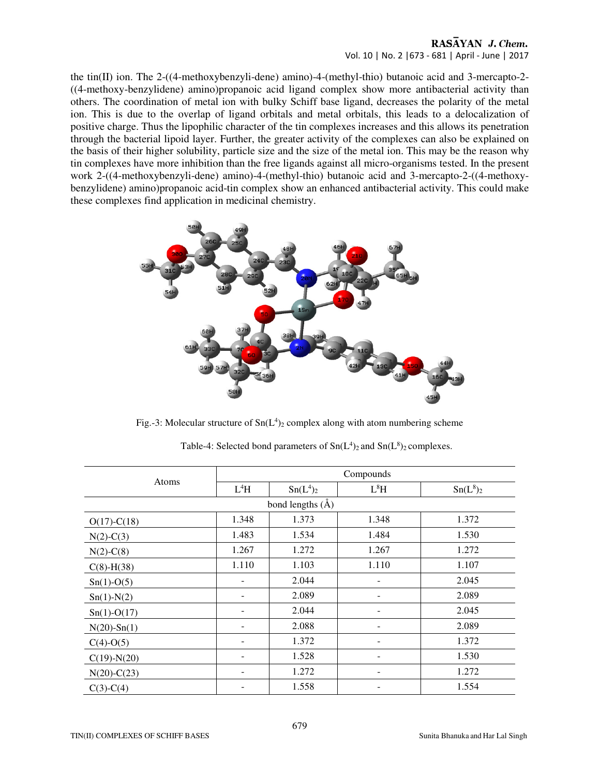# RASAYAN J. Chem. Vol. 10 | No. 2 |673 - 681 | April - June | 2017

the tin(II) ion. The 2-((4-methoxybenzyli-dene) amino)-4-(methyl-thio) butanoic acid and 3-mercapto-2- ((4-methoxy-benzylidene) amino)propanoic acid ligand complex show more antibacterial activity than others. The coordination of metal ion with bulky Schiff base ligand, decreases the polarity of the metal ion. This is due to the overlap of ligand orbitals and metal orbitals, this leads to a delocalization of positive charge. Thus the lipophilic character of the tin complexes increases and this allows its penetration through the bacterial lipoid layer. Further, the greater activity of the complexes can also be explained on the basis of their higher solubility, particle size and the size of the metal ion. This may be the reason why tin complexes have more inhibition than the free ligands against all micro-organisms tested. In the present work 2-((4-methoxybenzyli-dene) amino)-4-(methyl-thio) butanoic acid and 3-mercapto-2-((4-methoxybenzylidene) amino)propanoic acid-tin complex show an enhanced antibacterial activity. This could make these complexes find application in medicinal chemistry.



Fig.-3: Molecular structure of  $Sn(L<sup>4</sup>)<sub>2</sub>$  complex along with atom numbering scheme

|                   | Compounds                                            |                      |             |       |  |  |
|-------------------|------------------------------------------------------|----------------------|-------------|-------|--|--|
| Atoms             | $L^4H$<br>$L^8H$<br>Sn(L <sup>4</sup> ) <sub>2</sub> |                      | $Sn(L^8)_2$ |       |  |  |
|                   |                                                      | bond lengths $(\AA)$ |             |       |  |  |
| $O(17) - C(18)$   | 1.348                                                | 1.373                | 1.348       | 1.372 |  |  |
| $N(2)-C(3)$       | 1.483                                                | 1.534                | 1.484       | 1.530 |  |  |
| $N(2)$ -C(8)      | 1.267                                                | 1.272                | 1.267       | 1.272 |  |  |
| $C(8)-H(38)$      | 1.110                                                | 1.103                | 1.110       | 1.107 |  |  |
| $Sn(1)-O(5)$      |                                                      | 2.044                |             | 2.045 |  |  |
| $Sn(1)-N(2)$      | -                                                    | 2.089                | -           | 2.089 |  |  |
| $Sn(1)-O(17)$     |                                                      | 2.044                |             | 2.045 |  |  |
| $N(20)$ -Sn(1)    |                                                      | 2.088                |             | 2.089 |  |  |
| $C(4)-O(5)$       |                                                      | 1.372                |             | 1.372 |  |  |
| $C(19)$ -N $(20)$ |                                                      | 1.528                |             | 1.530 |  |  |
| $N(20)$ -C $(23)$ |                                                      | 1.272                |             | 1.272 |  |  |
| $C(3)-C(4)$       |                                                      | 1.558                |             | 1.554 |  |  |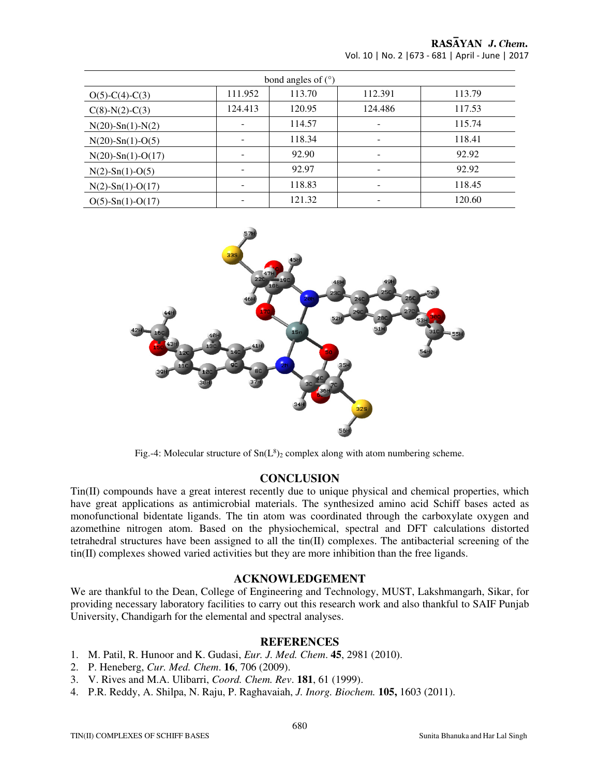| bond angles of $(°)$   |         |        |         |        |  |  |  |
|------------------------|---------|--------|---------|--------|--|--|--|
| $O(5)-C(4)-C(3)$       | 111.952 | 113.70 | 112.391 | 113.79 |  |  |  |
| $C(8)-N(2)-C(3)$       | 124.413 | 120.95 | 124.486 | 117.53 |  |  |  |
| $N(20)$ -Sn(1)- $N(2)$ |         | 114.57 |         | 115.74 |  |  |  |
| $N(20)$ -Sn(1)-O(5)    |         | 118.34 |         | 118.41 |  |  |  |
| $N(20)$ -Sn(1)-O(17)   |         | 92.90  |         | 92.92  |  |  |  |
| $N(2)$ -Sn(1)-O(5)     |         | 92.97  |         | 92.92  |  |  |  |
| $N(2)$ -Sn(1)-O(17)    |         | 118.83 |         | 118.45 |  |  |  |
| $O(5)$ -Sn(1)-O(17)    |         | 121.32 |         | 120.60 |  |  |  |





Fig.-4: Molecular structure of  $Sn(L^8)_2$  complex along with atom numbering scheme.

# **CONCLUSION**

Tin(II) compounds have a great interest recently due to unique physical and chemical properties, which have great applications as antimicrobial materials. The synthesized amino acid Schiff bases acted as monofunctional bidentate ligands. The tin atom was coordinated through the carboxylate oxygen and azomethine nitrogen atom. Based on the physiochemical, spectral and DFT calculations distorted tetrahedral structures have been assigned to all the tin(II) complexes. The antibacterial screening of the tin(II) complexes showed varied activities but they are more inhibition than the free ligands.

# **ACKNOWLEDGEMENT**

We are thankful to the Dean, College of Engineering and Technology, MUST, Lakshmangarh, Sikar, for providing necessary laboratory facilities to carry out this research work and also thankful to SAIF Punjab University, Chandigarh for the elemental and spectral analyses.

# **REFERENCES**

- 1. M. Patil, R. Hunoor and K. Gudasi, *Eur. J. Med. Chem*. **45**, 2981 (2010).
- 2. P. Heneberg, *Cur. Med. Chem*. **16**, 706 (2009).
- 3. V. Rives and M.A. Ulibarri, *Coord. Chem. Rev*. **181**, 61 (1999).
- 4. P.R. Reddy, A. Shilpa, N. Raju, P. Raghavaiah, *J. Inorg. Biochem.* **105,** 1603 (2011).